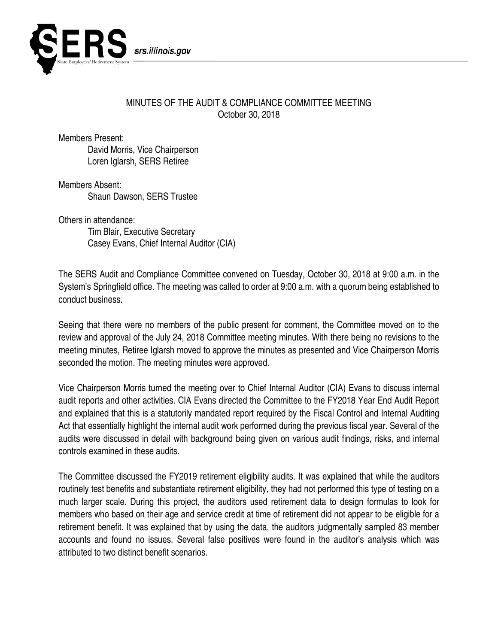

## MINUTES OF THE AUDIT & COMPLIANCE COMMITTEE MEETING October 30, 2018

Members Present:

David Morris, Vice Chairperson Loren Iglarsh, SERS Retiree

Members Absent: Shaun Dawson, SERS Trustee

Others in attendance: Tim Blair, Executive Secretary Casey Evans, Chief Internal Auditor (CIA)

The SERS Audit and Compliance Committee convened on Tuesday, October 30, 2018 at 9:00 a.m. in the System's Springfield office. The meeting was called to order at 9:00 a.m. with a quorum being established to conduct business.

Seeing that there were no members of the public present for comment, the Committee moved on to the review and approval of the July 24, 2018 Committee meeting minutes. With there being no revisions to the meeting minutes, Retiree Iglarsh moved to approve the minutes as presented and Vice Chairperson Morris seconded the motion. The meeting minutes were approved.

Vice Chairperson Morris turned the meeting over to Chief Internal Auditor (CIA) Evans to discuss internal audit reports and other activities. CIA Evans directed the Committee to the FY2018 Year End Audit Report and explained that this is a statutorily mandated report required by the Fiscal Control and Internal Auditing Act that essentially highlight the internal audit work performed during the previous fiscal year. Several of the audits were discussed in detail with background being given on various audit findings, risks, and internal controls examined in these audits.

The Committee discussed the FY2019 retirement eligibility audits. It was explained that while the auditors routinely test benefits and substantiate retirement eligibility, they had not performed this type of testing on a much larger scale. During this project, the auditors used retirement data to design formulas to look for members who based on their age and service credit at time of retirement did not appear to be eligible for a retirement benefit. It was explained that by using the data, the auditors judgmentally sampled 83 member accounts and found no issues. Several false positives were found in the auditor's analysis which was attributed to two distinct benefit scenarios.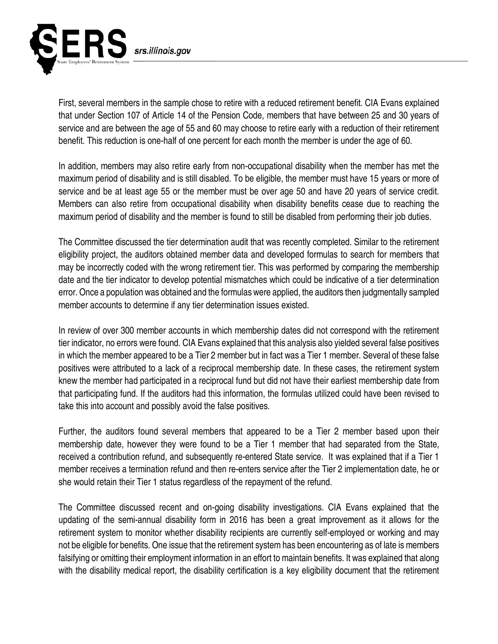

First, several members in the sample chose to retire with a reduced retirement benefit. CIA Evans explained that under Section 107 of Article 14 of the Pension Code, members that have between 25 and 30 years of service and are between the age of 55 and 60 may choose to retire early with a reduction of their retirement benefit. This reduction is one-half of one percent for each month the member is under the age of 60.

In addition, members may also retire early from non-occupational disability when the member has met the maximum period of disability and is still disabled. To be eligible, the member must have 15 years or more of service and be at least age 55 or the member must be over age 50 and have 20 years of service credit. Members can also retire from occupational disability when disability benefits cease due to reaching the maximum period of disability and the member is found to still be disabled from performing their job duties.

The Committee discussed the tier determination audit that was recently completed. Similar to the retirement eligibility project, the auditors obtained member data and developed formulas to search for members that may be incorrectly coded with the wrong retirement tier. This was performed by comparing the membership date and the tier indicator to develop potential mismatches which could be indicative of a tier determination error. Once a population was obtained and the formulas were applied, the auditors then judgmentally sampled member accounts to determine if any tier determination issues existed.

In review of over 300 member accounts in which membership dates did not correspond with the retirement tier indicator, no errors were found. CIA Evans explained that this analysis also yielded several false positives in which the member appeared to be a Tier 2 member but in fact was a Tier 1 member. Several of these false positives were attributed to a lack of a reciprocal membership date. In these cases, the retirement system knew the member had participated in a reciprocal fund but did not have their earliest membership date from that participating fund. If the auditors had this information, the formulas utilized could have been revised to take this into account and possibly avoid the false positives.

Further, the auditors found several members that appeared to be a Tier 2 member based upon their membership date, however they were found to be a Tier 1 member that had separated from the State, received a contribution refund, and subsequently re-entered State service. It was explained that if a Tier 1 member receives a termination refund and then re-enters service after the Tier 2 implementation date, he or she would retain their Tier 1 status regardless of the repayment of the refund.

The Committee discussed recent and on-going disability investigations. CIA Evans explained that the updating of the semi-annual disability form in 2016 has been a great improvement as it allows for the retirement system to monitor whether disability recipients are currently self-employed or working and may not be eligible for benefits. One issue that the retirement system has been encountering as of late is members falsifying or omitting their employment information in an effort to maintain benefits. It was explained that along with the disability medical report, the disability certification is a key eligibility document that the retirement